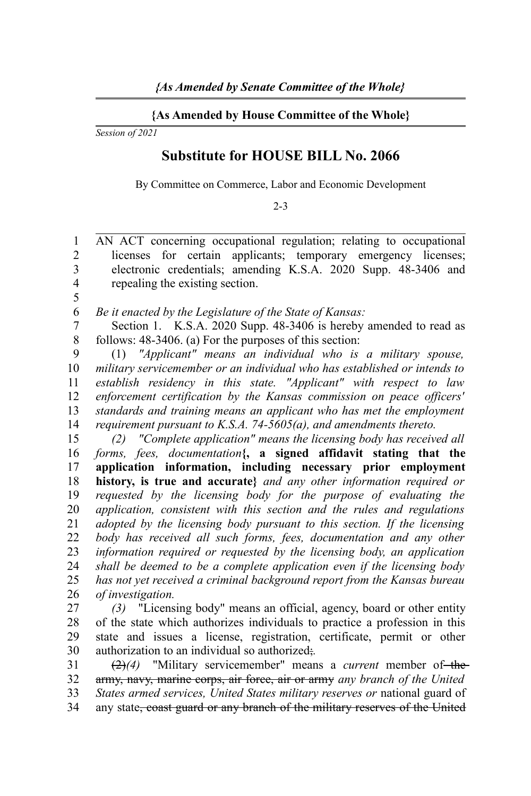## **{As Amended by House Committee of the Whole}**

*Session of 2021*

## **Substitute for HOUSE BILL No. 2066**

By Committee on Commerce, Labor and Economic Development

## 2-3

AN ACT concerning occupational regulation; relating to occupational licenses for certain applicants; temporary emergency licenses; electronic credentials; amending K.S.A. 2020 Supp. 48-3406 and repealing the existing section. 1  $\overline{2}$ 3 4

5

*Be it enacted by the Legislature of the State of Kansas:* 6

Section 1. K.S.A. 2020 Supp. 48-3406 is hereby amended to read as follows: 48-3406. (a) For the purposes of this section: 7 8

(1) *"Applicant" means an individual who is a military spouse, military servicemember or an individual who has established or intends to establish residency in this state. "Applicant" with respect to law enforcement certification by the Kansas commission on peace officers' standards and training means an applicant who has met the employment requirement pursuant to K.S.A. 74-5605(a), and amendments thereto.* 9 10 11 12 13 14

*(2) "Complete application" means the licensing body has received all forms, fees, documentation***{, a signed affidavit stating that the application information, including necessary prior employment history, is true and accurate}** *and any other information required or requested by the licensing body for the purpose of evaluating the application, consistent with this section and the rules and regulations adopted by the licensing body pursuant to this section. If the licensing body has received all such forms, fees, documentation and any other information required or requested by the licensing body, an application shall be deemed to be a complete application even if the licensing body has not yet received a criminal background report from the Kansas bureau of investigation.* 15 16 17 18 19 20 21 22 23 24 25 26

*(3)* "Licensing body" means an official, agency, board or other entity of the state which authorizes individuals to practice a profession in this state and issues a license, registration, certificate, permit or other authorization to an individual so authorized;*.* 27 28 29 30

(2)*(4)* "Military servicemember" means a *current* member of the army, navy, marine corps, air force, air or army *any branch of the United States armed services, United States military reserves or* national guard of any state, coast guard or any branch of the military reserves of the United 31 32 33 34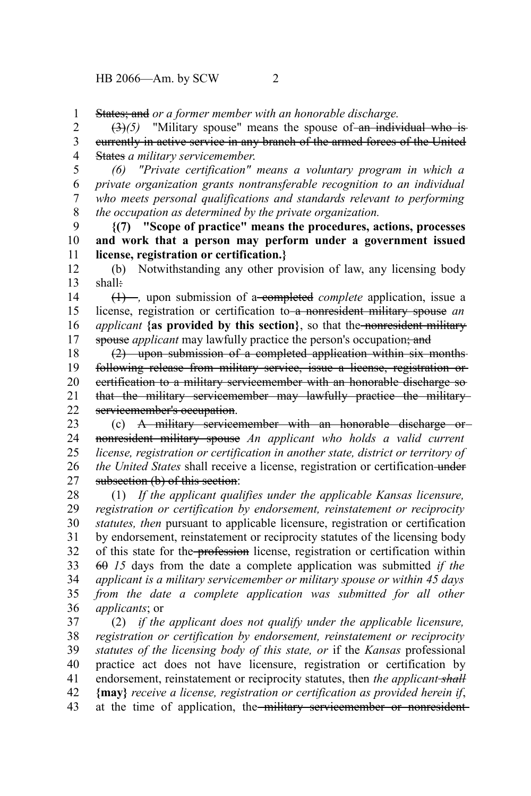States; and *or a former member with an honorable discharge.* 1

 $(3)(5)$  "Military spouse" means the spouse of an individual who is currently in active service in any branch of the armed forces of the United States *a military servicemember*. 2 3 4

*(6) "Private certification" means a voluntary program in which a private organization grants nontransferable recognition to an individual who meets personal qualifications and standards relevant to performing the occupation as determined by the private organization.* 5 6 7 8

**{(7) "Scope of practice" means the procedures, actions, processes and work that a person may perform under a government issued license, registration or certification.}** 9 10 11

(b) Notwithstanding any other provision of law, any licensing body shall: 12 13

(1) –, upon submission of a-completed *complete* application, issue a license, registration or certification to a nonresident military spouse *an applicant* **{as provided by this section}**, so that the nonresident military spouse *applicant* may lawfully practice the person's occupation; and 14 15 16 17

(2) upon submission of a completed application within six months following release from military service, issue a license, registration or certification to a military servicemember with an honorable discharge so that the military servicemember may lawfully practice the military servicemember's occupation. 18 19 20 21 22

(c) A military servicemember with an honorable discharge or nonresident military spouse *An applicant who holds a valid current license, registration or certification in another state, district or territory of the United States* shall receive a license, registration or certification-under subsection (b) of this section: 23 24 25 26 27

(1) *If the applicant qualifies under the applicable Kansas licensure, registration or certification by endorsement, reinstatement or reciprocity statutes, then* pursuant to applicable licensure, registration or certification by endorsement, reinstatement or reciprocity statutes of the licensing body of this state for the profession license, registration or certification within 60 *15* days from the date a complete application was submitted *if the applicant is a military servicemember or military spouse or within 45 days from the date a complete application was submitted for all other applicants*; or 28 29 30 31 32 33 34 35 36

(2) *if the applicant does not qualify under the applicable licensure, registration or certification by endorsement, reinstatement or reciprocity statutes of the licensing body of this state, or* if the *Kansas* professional practice act does not have licensure, registration or certification by endorsement, reinstatement or reciprocity statutes, then *the applicant-shall* **{may}** *receive a license, registration or certification as provided herein if*, at the time of application, the military servicemember or nonresident-37 38 39 40 41 42 43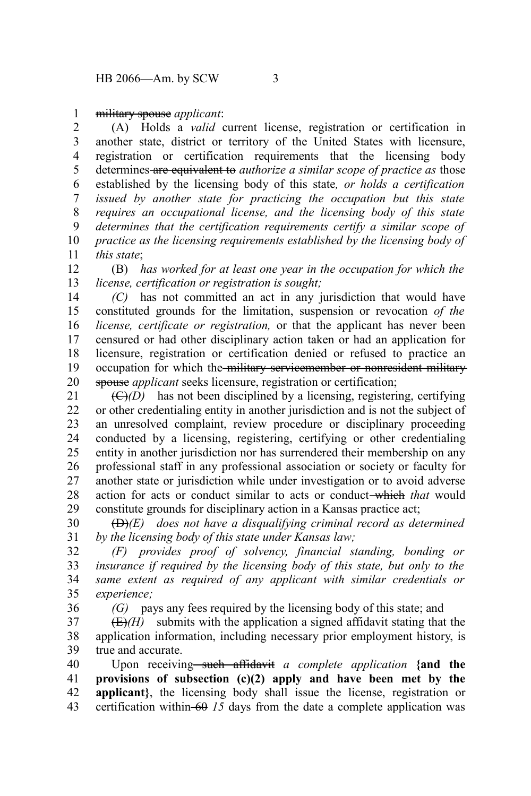military spouse *applicant*: 1

(A) Holds a *valid* current license, registration or certification in another state, district or territory of the United States with licensure, registration or certification requirements that the licensing body determines are equivalent to *authorize a similar scope of practice as* those established by the licensing body of this state*, or holds a certification issued by another state for practicing the occupation but this state requires an occupational license, and the licensing body of this state determines that the certification requirements certify a similar scope of practice as the licensing requirements established by the licensing body of this state*; 2 3 4 5 6 7 8 9 10 11

(B) *has worked for at least one year in the occupation for which the license, certification or registration is sought;* 12 13

*(C)* has not committed an act in any jurisdiction that would have constituted grounds for the limitation, suspension or revocation *of the license, certificate or registration,* or that the applicant has never been censured or had other disciplinary action taken or had an application for licensure, registration or certification denied or refused to practice an occupation for which the military servicemember or nonresident military spouse *applicant* seeks licensure, registration or certification; 14 15 16 17 18 19 20

 $(\bigoplus/D)$  has not been disciplined by a licensing, registering, certifying or other credentialing entity in another jurisdiction and is not the subject of an unresolved complaint, review procedure or disciplinary proceeding conducted by a licensing, registering, certifying or other credentialing entity in another jurisdiction nor has surrendered their membership on any professional staff in any professional association or society or faculty for another state or jurisdiction while under investigation or to avoid adverse action for acts or conduct similar to acts or conduct which *that* would constitute grounds for disciplinary action in a Kansas practice act; 21 22 23 24 25 26 27 28 29

(D)*(E) does not have a disqualifying criminal record as determined by the licensing body of this state under Kansas law;* 30 31

*(F) provides proof of solvency, financial standing, bonding or insurance if required by the licensing body of this state, but only to the same extent as required of any applicant with similar credentials or experience;* 32 33 34 35

36

*(G)* pays any fees required by the licensing body of this state; and

 $(E)/H$ ) submits with the application a signed affidavit stating that the application information, including necessary prior employment history, is true and accurate. 37 38 39

Upon receiving<del> such affidavit</del> a complete application {and the **provisions of subsection (c)(2) apply and have been met by the** applicant}, the licensing body shall issue the license, registration or certification within  $-60$  *15* days from the date a complete application was 40 41 42 43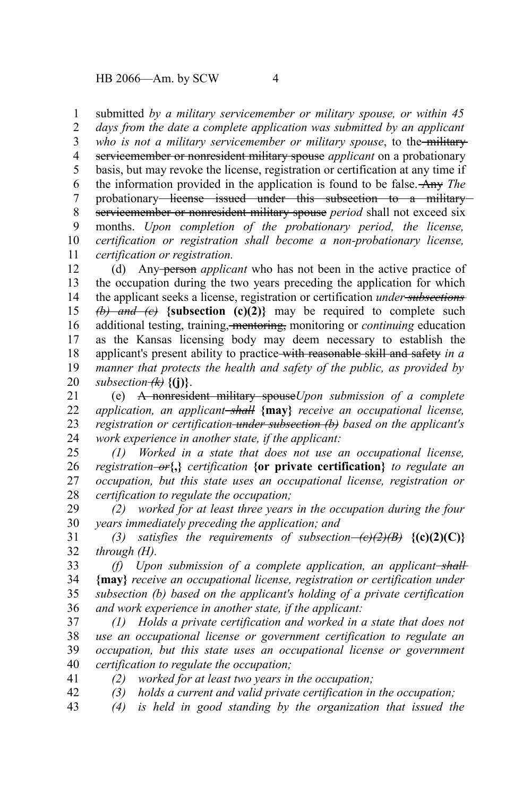submitted *by a military servicemember or military spouse, or within 45* 1

*days from the date a complete application was submitted by an applicant* who is not a military servicemember or military spouse, to the-militaryservicemember or nonresident military spouse *applicant* on a probationary basis, but may revoke the license, registration or certification at any time if the information provided in the application is found to be false. Any *The* probationary-license issued under this subsection to a militaryservicemember or nonresident military spouse *period* shall not exceed six months. *Upon completion of the probationary period, the license, certification or registration shall become a non-probationary license, certification or registration.* 2 3 4 5 6 7 8 9 10 11

(d) Any person *applicant* who has not been in the active practice of the occupation during the two years preceding the application for which the applicant seeks a license, registration or certification *under subsections*  $\overrightarrow{b}$  *and (c)* {subsection (c)(2)} may be required to complete such additional testing, training, mentoring, monitoring or *continuing* education as the Kansas licensing body may deem necessary to establish the applicant's present ability to practice with reasonable skill and safety *in a manner that protects the health and safety of the public, as provided by subsection (k)* **{(j)}**. 12 13 14 15 16 17 18 19 20

(e) A nonresident military spouse*Upon submission of a complete application, an applicant shall* **{may}** *receive an occupational license, registration or certification under subsection (b) based on the applicant's work experience in another state, if the applicant:* 21 22 23 24

*(1) Worked in a state that does not use an occupational license, registration or***{,}** *certification* **{or private certification}** *to regulate an occupation, but this state uses an occupational license, registration or certification to regulate the occupation;* 25 26 27 28

*(2) worked for at least three years in the occupation during the four years immediately preceding the application; and* 29 30

*(3) satisfies the requirements of subsection (c)(2)(B)* **{(c)(2)(C)}** *through (H).* 31 32

*(f) Upon submission of a complete application, an applicant shall* **{may}** *receive an occupational license, registration or certification under subsection (b) based on the applicant's holding of a private certification and work experience in another state, if the applicant:* 33 34 35 36

*(1) Holds a private certification and worked in a state that does not use an occupational license or government certification to regulate an occupation, but this state uses an occupational license or government certification to regulate the occupation;* 37 38 39 40

*(2) worked for at least two years in the occupation;* 41

*(3) holds a current and valid private certification in the occupation;* 42

*(4) is held in good standing by the organization that issued the* 43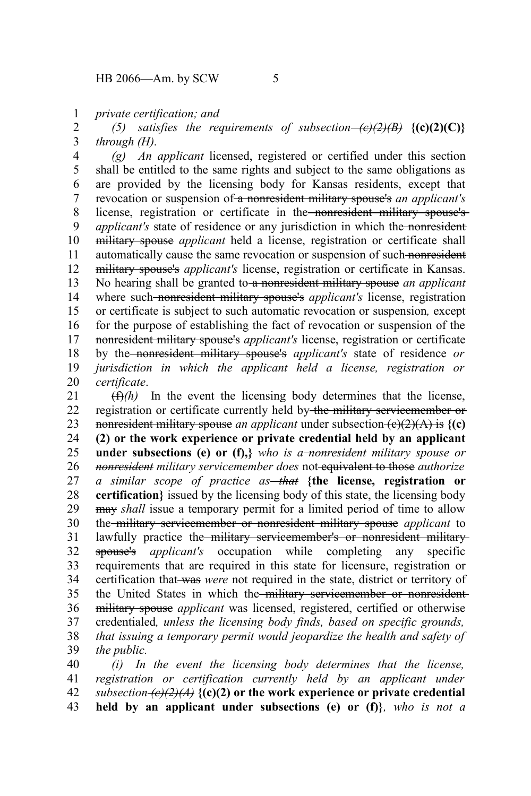*private certification; and* 1

*(5)* satisfies the requirements of subsection– $\left(\frac{\partial}{\partial B}\right)$  {(c)(2)(C)} *through (H).* 2 3

*(g) An applicant* licensed, registered or certified under this section shall be entitled to the same rights and subject to the same obligations as are provided by the licensing body for Kansas residents, except that revocation or suspension of a nonresident military spouse's *an applicant's* license, registration or certificate in the nonresident military spouse's *applicant's* state of residence or any jurisdiction in which the nonresident military spouse *applicant* held a license, registration or certificate shall automatically cause the same revocation or suspension of such nonresident military spouse's *applicant's* license, registration or certificate in Kansas. No hearing shall be granted to a nonresident military spouse *an applicant* where such-nonresident military spouse's *applicant's* license, registration or certificate is subject to such automatic revocation or suspension*,* except for the purpose of establishing the fact of revocation or suspension of the nonresident military spouse's *applicant's* license, registration or certificate by the nonresident military spouse's *applicant's* state of residence *or jurisdiction in which the applicant held a license, registration or certificate*. 4 5 6 7 8 9 10 11 12 13 14 15 16 17 18 19 20

 $(f)$ <sup>(f)</sup>) In the event the licensing body determines that the license, registration or certificate currently held by the military servicemember or nonresident military spouse *an applicant* under subsection  $(e)(2)(A)$  is  $\{(c)\}$ **(2) or the work experience or private credential held by an applicant under subsections (e) or (f),***}* who is a<del>-nonresident</del> military spouse or *nonresident military servicemember does* not equivalent to those *authorize a similar scope of practice as that* **{the license, registration or certification}** issued by the licensing body of this state, the licensing body may *shall* issue a temporary permit for a limited period of time to allow the military servicemember or nonresident military spouse *applicant* to lawfully practice the military servicemember's or nonresident militaryspouse's *applicant's* occupation while completing any specific requirements that are required in this state for licensure, registration or certification that was *were* not required in the state, district or territory of the United States in which the military servicemember or nonresidentmilitary spouse *applicant* was licensed, registered, certified or otherwise credentialed*, unless the licensing body finds, based on specific grounds, that issuing a temporary permit would jeopardize the health and safety of the public.* 21 22 23 24 25 26 27 28 29 30 31 32 33 34 35 36 37 38 39

*(i) In the event the licensing body determines that the license, registration or certification currently held by an applicant under subsection*  $\left(\frac{e}{2}\right)$  *(A)*  $\left(\frac{e}{2}\right)$  or the work experience or private credential **held by an applicant under subsections (e) or (f)}***, who is not a* 40 41 42 43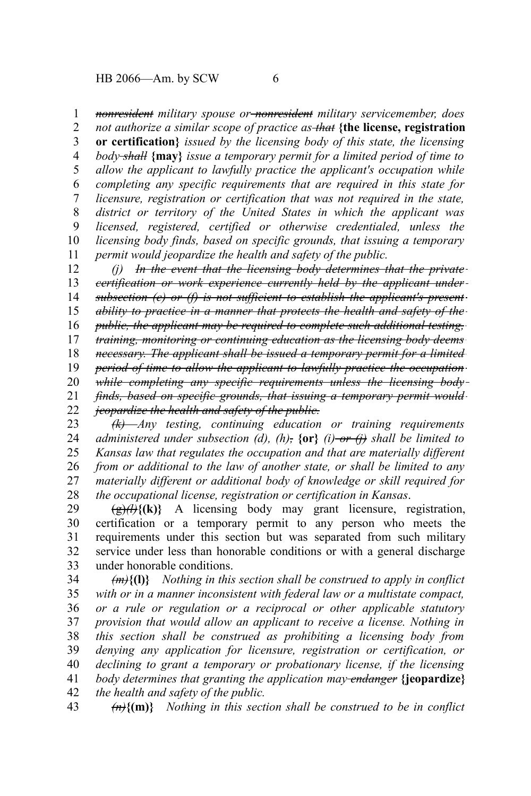$HB\ 2066$ —Am. by SCW 6

*nonresident military spouse or nonresident military servicemember, does* 1

*not authorize a similar scope of practice as that* **{the license, registration or certification}** *issued by the licensing body of this state, the licensing body shall* **{may}** *issue a temporary permit for a limited period of time to allow the applicant to lawfully practice the applicant's occupation while completing any specific requirements that are required in this state for licensure, registration or certification that was not required in the state, district or territory of the United States in which the applicant was licensed, registered, certified or otherwise credentialed, unless the licensing body finds, based on specific grounds, that issuing a temporary permit would jeopardize the health and safety of the public.* 2 3 4 5 6 7 8 9 10 11

*(j) In the event that the licensing body determines that the private certification or work experience currently held by the applicant under subsection (e) or (f) is not sufficient to establish the applicant's present ability to practice in a manner that protects the health and safety of the public, the applicant may be required to complete such additional testing, training, monitoring or continuing education as the licensing body deems necessary. The applicant shall be issued a temporary permit for a limited period of time to allow the applicant to lawfully practice the occupation while completing any specific requirements unless the licensing body finds, based on specific grounds, that issuing a temporary permit would jeopardize the health and safety of the public.* 12 13 14 15 16 17 18 19 20 21 22

*(k) Any testing, continuing education or training requirements administered under subsection (d), (h),* **{or}** *(i) or (j) shall be limited to Kansas law that regulates the occupation and that are materially different from or additional to the law of another state, or shall be limited to any materially different or additional body of knowledge or skill required for the occupational license, registration or certification in Kansas*. 23 24 25 26 27 28

 $(g)$ (k)} A licensing body may grant licensure, registration, certification or a temporary permit to any person who meets the requirements under this section but was separated from such military service under less than honorable conditions or with a general discharge under honorable conditions. 29 30 31 32 33

*(m)***{(l)}** *Nothing in this section shall be construed to apply in conflict with or in a manner inconsistent with federal law or a multistate compact, or a rule or regulation or a reciprocal or other applicable statutory provision that would allow an applicant to receive a license. Nothing in this section shall be construed as prohibiting a licensing body from denying any application for licensure, registration or certification, or declining to grant a temporary or probationary license, if the licensing body determines that granting the application may endanger* **{jeopardize}** *the health and safety of the public.* 34 35 36 37 38 39 40 41 42

*(n)***{(m)}** *Nothing in this section shall be construed to be in conflict* 43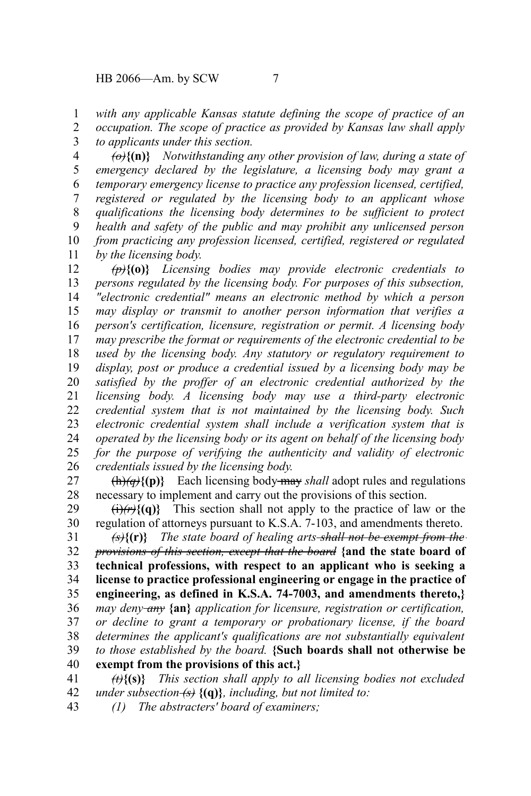*with any applicable Kansas statute defining the scope of practice of an* 1

*occupation. The scope of practice as provided by Kansas law shall apply to applicants under this section.* 2 3

*(o)***{(n)}** *Notwithstanding any other provision of law, during a state of emergency declared by the legislature, a licensing body may grant a temporary emergency license to practice any profession licensed, certified, registered or regulated by the licensing body to an applicant whose qualifications the licensing body determines to be sufficient to protect health and safety of the public and may prohibit any unlicensed person from practicing any profession licensed, certified, registered or regulated by the licensing body.* 4 5 6 7 8 9 10 11

*(p)***{(o)}** *Licensing bodies may provide electronic credentials to persons regulated by the licensing body. For purposes of this subsection, "electronic credential" means an electronic method by which a person may display or transmit to another person information that verifies a person's certification, licensure, registration or permit. A licensing body may prescribe the format or requirements of the electronic credential to be used by the licensing body. Any statutory or regulatory requirement to display, post or produce a credential issued by a licensing body may be satisfied by the proffer of an electronic credential authorized by the licensing body. A licensing body may use a third-party electronic credential system that is not maintained by the licensing body. Such electronic credential system shall include a verification system that is operated by the licensing body or its agent on behalf of the licensing body for the purpose of verifying the authenticity and validity of electronic credentials issued by the licensing body.* 12 13 14 15 16 17 18 19 20 21 22 23 24 25 26

 $\{\text{h}\}\{\text{(p)}\}$  Each licensing body-may *shall* adopt rules and regulations necessary to implement and carry out the provisions of this section. 27 28

 $\langle i \rangle$ / $\langle r \rangle$ {(q)} This section shall not apply to the practice of law or the regulation of attorneys pursuant to K.S.A. 7-103, and amendments thereto. 29 30

*(s)***{(r)}** *The state board of healing arts shall not be exempt from the provisions of this section, except that the board* **{and the state board of technical professions, with respect to an applicant who is seeking a license to practice professional engineering or engage in the practice of engineering, as defined in K.S.A. 74-7003, and amendments thereto,}** *may deny any* **{an}** *application for licensure, registration or certification, or decline to grant a temporary or probationary license, if the board determines the applicant's qualifications are not substantially equivalent to those established by the board.* **{Such boards shall not otherwise be exempt from the provisions of this act.}** 31 32 33 34 35 36 37 38 39 40

*(t)***{(s)}** *This section shall apply to all licensing bodies not excluded under subsection (s)* **{(q)}***, including, but not limited to:* 41 42

*(1) The abstracters' board of examiners;* 43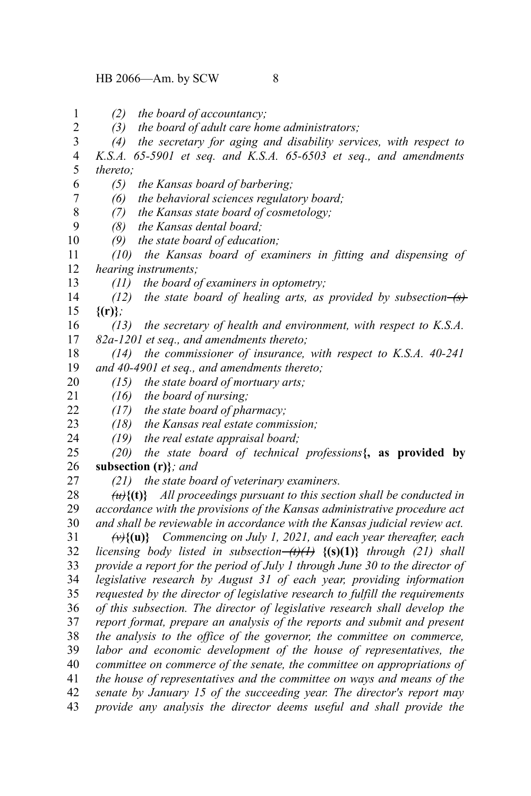*(2) the board of accountancy;* 1

*(3) the board of adult care home administrators;* 2

*(4) the secretary for aging and disability services, with respect to K.S.A. 65-5901 et seq. and K.S.A. 65-6503 et seq., and amendments thereto;* 3 4 5

*(5) the Kansas board of barbering;*

*(6) the behavioral sciences regulatory board;* 7

*(7) the Kansas state board of cosmetology;*

*(8) the Kansas dental board;* 9

*(9) the state board of education;* 10

*(10) the Kansas board of examiners in fitting and dispensing of hearing instruments;* 11 12

*(11) the board of examiners in optometry;*

*(12) the state board of healing arts, as provided by subsection (s)* **{(r)}***;* 14 15

*(13) the secretary of health and environment, with respect to K.S.A. 82a-1201 et seq., and amendments thereto;* 16 17

*(14) the commissioner of insurance, with respect to K.S.A. 40-241 and 40-4901 et seq., and amendments thereto;* 18 19

*(15) the state board of mortuary arts;* 20

*(16) the board of nursing;* 21

*(17) the state board of pharmacy;* 22

*(18) the Kansas real estate commission;* 23

*(19) the real estate appraisal board;* 24

*(20) the state board of technical professions***{, as provided by subsection (r)}***; and* 25 26

27

6

8

13

*(21) the state board of veterinary examiners.*

*(u)***{(t)}** *All proceedings pursuant to this section shall be conducted in accordance with the provisions of the Kansas administrative procedure act and shall be reviewable in accordance with the Kansas judicial review act.* 28 29 30

*(v)***{(u)}** *Commencing on July 1, 2021, and each year thereafter, each licensing body listed in subsection (t)(1)* **{(s)(1)}** *through (21) shall provide a report for the period of July 1 through June 30 to the director of legislative research by August 31 of each year, providing information requested by the director of legislative research to fulfill the requirements of this subsection. The director of legislative research shall develop the report format, prepare an analysis of the reports and submit and present the analysis to the office of the governor, the committee on commerce, labor and economic development of the house of representatives, the committee on commerce of the senate, the committee on appropriations of the house of representatives and the committee on ways and means of the senate by January 15 of the succeeding year. The director's report may provide any analysis the director deems useful and shall provide the* 31 32 33 34 35 36 37 38 39 40 41 42 43